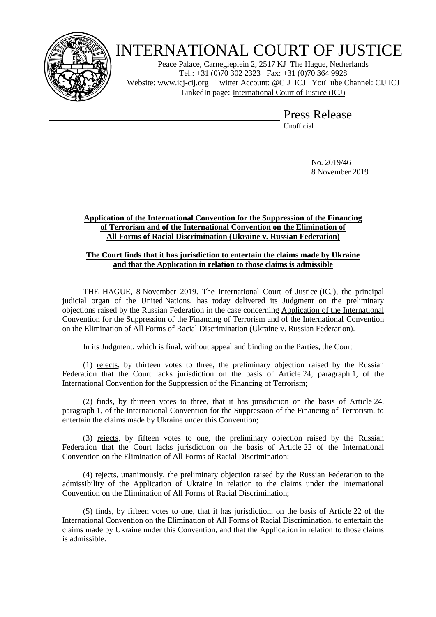

# INTERNATIONAL COURT OF JUSTICE

Peace Palace, Carnegieplein 2, 2517 KJ The Hague, Netherlands Tel.: +31 (0)70 302 2323 Fax: +31 (0)70 364 9928 Website: [www.icj-cij.org](http://www.icj-cij.org/) Twitter Account: [@CIJ\\_ICJ](https://twitter.com/cij_icj) YouTube Channel: [CIJ ICJ](https://www.youtube.com/channel/UC28oiS6IwkVvWL7kLH1-QPg) LinkedIn page: [International Court of Justice \(ICJ\)](https://www.linkedin.com/company/international-court-of-justice/)

Press Release

Unofficial

No. 2019/46 8 November 2019

# **Application of the International Convention for the Suppression of the Financing of Terrorism and of the International Convention on the Elimination of All Forms of Racial Discrimination (Ukraine v. Russian Federation)**

# **The Court finds that it has jurisdiction to entertain the claims made by Ukraine and that the Application in relation to those claims is admissible**

THE HAGUE, 8 November 2019. The International Court of Justice (ICJ), the principal judicial organ of the United Nations, has today delivered its Judgment on the preliminary objections raised by the Russian Federation in the case concerning Application of the International Convention for the Suppression of the Financing of Terrorism and of the International Convention on the Elimination of All Forms of Racial Discrimination (Ukraine v. Russian Federation).

In its Judgment, which is final, without appeal and binding on the Parties, the Court

(1) rejects, by thirteen votes to three, the preliminary objection raised by the Russian Federation that the Court lacks jurisdiction on the basis of Article 24, paragraph 1, of the International Convention for the Suppression of the Financing of Terrorism;

(2) finds, by thirteen votes to three, that it has jurisdiction on the basis of Article 24, paragraph 1, of the International Convention for the Suppression of the Financing of Terrorism, to entertain the claims made by Ukraine under this Convention;

(3) rejects, by fifteen votes to one, the preliminary objection raised by the Russian Federation that the Court lacks jurisdiction on the basis of Article 22 of the International Convention on the Elimination of All Forms of Racial Discrimination;

(4) rejects, unanimously, the preliminary objection raised by the Russian Federation to the admissibility of the Application of Ukraine in relation to the claims under the International Convention on the Elimination of All Forms of Racial Discrimination;

(5) finds, by fifteen votes to one, that it has jurisdiction, on the basis of Article 22 of the International Convention on the Elimination of All Forms of Racial Discrimination, to entertain the claims made by Ukraine under this Convention, and that the Application in relation to those claims is admissible.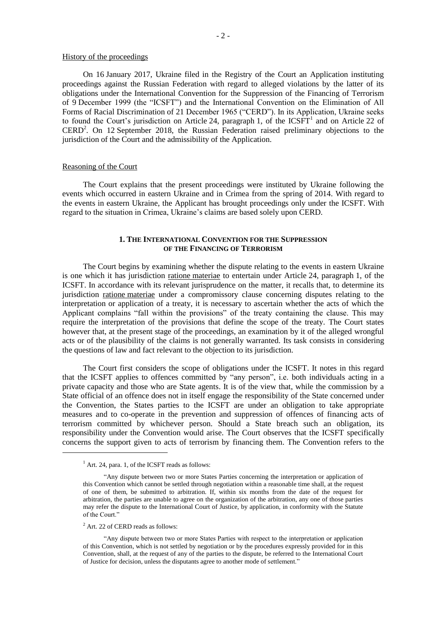# History of the proceedings

On 16 January 2017, Ukraine filed in the Registry of the Court an Application instituting proceedings against the Russian Federation with regard to alleged violations by the latter of its obligations under the International Convention for the Suppression of the Financing of Terrorism of 9 December 1999 (the "ICSFT") and the International Convention on the Elimination of All Forms of Racial Discrimination of 21 December 1965 ("CERD"). In its Application, Ukraine seeks to found the Court's jurisdiction on Article 24, paragraph 1, of the  $ICSFT<sup>1</sup>$  and on Article 22 of CERD<sup>2</sup>. On 12 September 2018, the Russian Federation raised preliminary objections to the jurisdiction of the Court and the admissibility of the Application.

#### Reasoning of the Court

The Court explains that the present proceedings were instituted by Ukraine following the events which occurred in eastern Ukraine and in Crimea from the spring of 2014. With regard to the events in eastern Ukraine, the Applicant has brought proceedings only under the ICSFT. With regard to the situation in Crimea, Ukraine's claims are based solely upon CERD.

### **1. THE INTERNATIONAL CONVENTION FOR THE SUPPRESSION OF THE FINANCING OF TERRORISM**

The Court begins by examining whether the dispute relating to the events in eastern Ukraine is one which it has jurisdiction ratione materiae to entertain under Article 24, paragraph 1, of the ICSFT. In accordance with its relevant jurisprudence on the matter, it recalls that, to determine its jurisdiction ratione materiae under a compromissory clause concerning disputes relating to the interpretation or application of a treaty, it is necessary to ascertain whether the acts of which the Applicant complains "fall within the provisions" of the treaty containing the clause. This may require the interpretation of the provisions that define the scope of the treaty. The Court states however that, at the present stage of the proceedings, an examination by it of the alleged wrongful acts or of the plausibility of the claims is not generally warranted. Its task consists in considering the questions of law and fact relevant to the objection to its jurisdiction.

The Court first considers the scope of obligations under the ICSFT. It notes in this regard that the ICSFT applies to offences committed by "any person", i.e. both individuals acting in a private capacity and those who are State agents. It is of the view that, while the commission by a State official of an offence does not in itself engage the responsibility of the State concerned under the Convention, the States parties to the ICSFT are under an obligation to take appropriate measures and to co-operate in the prevention and suppression of offences of financing acts of terrorism committed by whichever person. Should a State breach such an obligation, its responsibility under the Convention would arise. The Court observes that the ICSFT specifically concerns the support given to acts of terrorism by financing them. The Convention refers to the

<sup>2</sup> Art. 22 of CERD reads as follows:

1

"Any dispute between two or more States Parties with respect to the interpretation or application of this Convention, which is not settled by negotiation or by the procedures expressly provided for in this Convention, shall, at the request of any of the parties to the dispute, be referred to the International Court of Justice for decision, unless the disputants agree to another mode of settlement."

 $<sup>1</sup>$  Art. 24, para. 1, of the ICSFT reads as follows:</sup>

<sup>&</sup>quot;Any dispute between two or more States Parties concerning the interpretation or application of this Convention which cannot be settled through negotiation within a reasonable time shall, at the request of one of them, be submitted to arbitration. If, within six months from the date of the request for arbitration, the parties are unable to agree on the organization of the arbitration, any one of those parties may refer the dispute to the International Court of Justice, by application, in conformity with the Statute of the Court."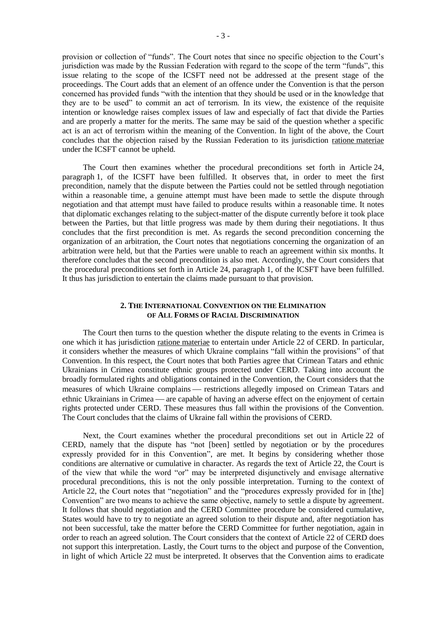provision or collection of "funds". The Court notes that since no specific objection to the Court's jurisdiction was made by the Russian Federation with regard to the scope of the term "funds", this issue relating to the scope of the ICSFT need not be addressed at the present stage of the proceedings. The Court adds that an element of an offence under the Convention is that the person concerned has provided funds "with the intention that they should be used or in the knowledge that they are to be used" to commit an act of terrorism. In its view, the existence of the requisite intention or knowledge raises complex issues of law and especially of fact that divide the Parties and are properly a matter for the merits. The same may be said of the question whether a specific act is an act of terrorism within the meaning of the Convention. In light of the above, the Court concludes that the objection raised by the Russian Federation to its jurisdiction ratione materiae under the ICSFT cannot be upheld.

The Court then examines whether the procedural preconditions set forth in Article 24, paragraph 1, of the ICSFT have been fulfilled. It observes that, in order to meet the first precondition, namely that the dispute between the Parties could not be settled through negotiation within a reasonable time, a genuine attempt must have been made to settle the dispute through negotiation and that attempt must have failed to produce results within a reasonable time. It notes that diplomatic exchanges relating to the subject-matter of the dispute currently before it took place between the Parties, but that little progress was made by them during their negotiations. It thus concludes that the first precondition is met. As regards the second precondition concerning the organization of an arbitration, the Court notes that negotiations concerning the organization of an arbitration were held, but that the Parties were unable to reach an agreement within six months. It therefore concludes that the second precondition is also met. Accordingly, the Court considers that the procedural preconditions set forth in Article 24, paragraph 1, of the ICSFT have been fulfilled. It thus has jurisdiction to entertain the claims made pursuant to that provision.

# **2. THE INTERNATIONAL CONVENTION ON THE ELIMINATION OF ALL FORMS OF RACIAL DISCRIMINATION**

The Court then turns to the question whether the dispute relating to the events in Crimea is one which it has jurisdiction ratione materiae to entertain under Article 22 of CERD. In particular, it considers whether the measures of which Ukraine complains "fall within the provisions" of that Convention. In this respect, the Court notes that both Parties agree that Crimean Tatars and ethnic Ukrainians in Crimea constitute ethnic groups protected under CERD. Taking into account the broadly formulated rights and obligations contained in the Convention, the Court considers that the measures of which Ukraine complains — restrictions allegedly imposed on Crimean Tatars and ethnic Ukrainians in Crimea — are capable of having an adverse effect on the enjoyment of certain rights protected under CERD. These measures thus fall within the provisions of the Convention. The Court concludes that the claims of Ukraine fall within the provisions of CERD.

Next, the Court examines whether the procedural preconditions set out in Article 22 of CERD, namely that the dispute has "not [been] settled by negotiation or by the procedures expressly provided for in this Convention", are met. It begins by considering whether those conditions are alternative or cumulative in character. As regards the text of Article 22, the Court is of the view that while the word "or" may be interpreted disjunctively and envisage alternative procedural preconditions, this is not the only possible interpretation. Turning to the context of Article 22, the Court notes that "negotiation" and the "procedures expressly provided for in [the] Convention" are two means to achieve the same objective, namely to settle a dispute by agreement. It follows that should negotiation and the CERD Committee procedure be considered cumulative, States would have to try to negotiate an agreed solution to their dispute and, after negotiation has not been successful, take the matter before the CERD Committee for further negotiation, again in order to reach an agreed solution. The Court considers that the context of Article 22 of CERD does not support this interpretation. Lastly, the Court turns to the object and purpose of the Convention, in light of which Article 22 must be interpreted. It observes that the Convention aims to eradicate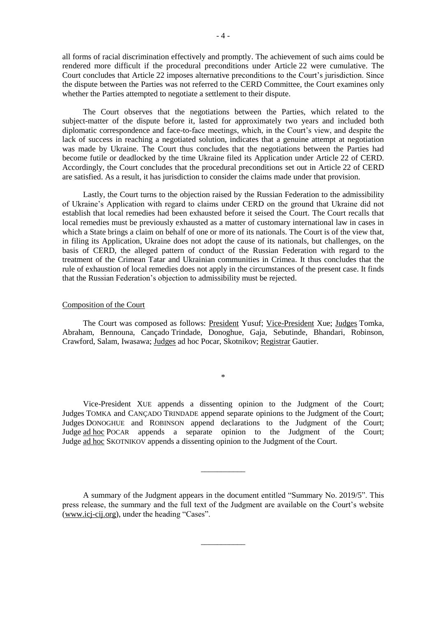all forms of racial discrimination effectively and promptly. The achievement of such aims could be rendered more difficult if the procedural preconditions under Article 22 were cumulative. The Court concludes that Article 22 imposes alternative preconditions to the Court's jurisdiction. Since the dispute between the Parties was not referred to the CERD Committee, the Court examines only whether the Parties attempted to negotiate a settlement to their dispute.

The Court observes that the negotiations between the Parties, which related to the subject-matter of the dispute before it, lasted for approximately two years and included both diplomatic correspondence and face-to-face meetings, which, in the Court's view, and despite the lack of success in reaching a negotiated solution, indicates that a genuine attempt at negotiation was made by Ukraine. The Court thus concludes that the negotiations between the Parties had become futile or deadlocked by the time Ukraine filed its Application under Article 22 of CERD. Accordingly, the Court concludes that the procedural preconditions set out in Article 22 of CERD are satisfied. As a result, it has jurisdiction to consider the claims made under that provision.

Lastly, the Court turns to the objection raised by the Russian Federation to the admissibility of Ukraine's Application with regard to claims under CERD on the ground that Ukraine did not establish that local remedies had been exhausted before it seised the Court. The Court recalls that local remedies must be previously exhausted as a matter of customary international law in cases in which a State brings a claim on behalf of one or more of its nationals. The Court is of the view that, in filing its Application, Ukraine does not adopt the cause of its nationals, but challenges, on the basis of CERD, the alleged pattern of conduct of the Russian Federation with regard to the treatment of the Crimean Tatar and Ukrainian communities in Crimea. It thus concludes that the rule of exhaustion of local remedies does not apply in the circumstances of the present case. It finds that the Russian Federation's objection to admissibility must be rejected.

# Composition of the Court

The Court was composed as follows: President Yusuf; Vice-President Xue; Judges Tomka, Abraham, Bennouna, Cançado Trindade, Donoghue, Gaja, Sebutinde, Bhandari, Robinson, Crawford, Salam, Iwasawa; Judges ad hoc Pocar, Skotnikov; Registrar Gautier.

\*

Vice-President XUE appends a dissenting opinion to the Judgment of the Court; Judges TOMKA and CANÇADO TRINDADE append separate opinions to the Judgment of the Court; Judges DONOGHUE and ROBINSON append declarations to the Judgment of the Court; Judge <u>ad hoc</u> POCAR appends a separate opinion to the Judgment of the Court; Judge ad hoc SKOTNIKOV appends a dissenting opinion to the Judgment of the Court.

A summary of the Judgment appears in the document entitled "Summary No. 2019/5". This press release, the summary and the full text of the Judgment are available on the Court's website (www.icj-cij.org), under the heading "Cases".

\_\_\_\_\_\_\_\_\_\_\_

\_\_\_\_\_\_\_\_\_\_\_